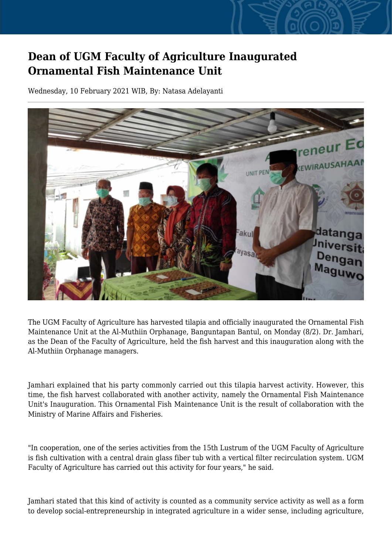## **Dean of UGM Faculty of Agriculture Inaugurated Ornamental Fish Maintenance Unit**

Wednesday, 10 February 2021 WIB, By: Natasa Adelayanti



The UGM Faculty of Agriculture has harvested tilapia and officially inaugurated the Ornamental Fish Maintenance Unit at the Al-Muthiin Orphanage, Banguntapan Bantul, on Monday (8/2). Dr. Jamhari, as the Dean of the Faculty of Agriculture, held the fish harvest and this inauguration along with the Al-Muthiin Orphanage managers.

Jamhari explained that his party commonly carried out this tilapia harvest activity. However, this time, the fish harvest collaborated with another activity, namely the Ornamental Fish Maintenance Unit's Inauguration. This Ornamental Fish Maintenance Unit is the result of collaboration with the Ministry of Marine Affairs and Fisheries.

"In cooperation, one of the series activities from the 15th Lustrum of the UGM Faculty of Agriculture is fish cultivation with a central drain glass fiber tub with a vertical filter recirculation system. UGM Faculty of Agriculture has carried out this activity for four years," he said.

Jamhari stated that this kind of activity is counted as a community service activity as well as a form to develop social-entrepreneurship in integrated agriculture in a wider sense, including agriculture,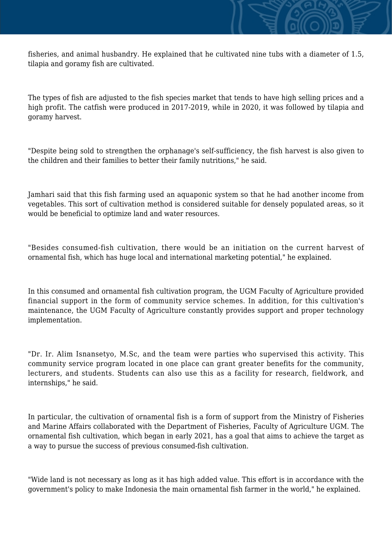fisheries, and animal husbandry. He explained that he cultivated nine tubs with a diameter of 1.5, tilapia and goramy fish are cultivated.

The types of fish are adjusted to the fish species market that tends to have high selling prices and a high profit. The catfish were produced in 2017-2019, while in 2020, it was followed by tilapia and goramy harvest.

"Despite being sold to strengthen the orphanage's self-sufficiency, the fish harvest is also given to the children and their families to better their family nutritions," he said.

Jamhari said that this fish farming used an aquaponic system so that he had another income from vegetables. This sort of cultivation method is considered suitable for densely populated areas, so it would be beneficial to optimize land and water resources.

"Besides consumed-fish cultivation, there would be an initiation on the current harvest of ornamental fish, which has huge local and international marketing potential," he explained.

In this consumed and ornamental fish cultivation program, the UGM Faculty of Agriculture provided financial support in the form of community service schemes. In addition, for this cultivation's maintenance, the UGM Faculty of Agriculture constantly provides support and proper technology implementation.

"Dr. Ir. Alim Isnansetyo, M.Sc, and the team were parties who supervised this activity. This community service program located in one place can grant greater benefits for the community, lecturers, and students. Students can also use this as a facility for research, fieldwork, and internships," he said.

In particular, the cultivation of ornamental fish is a form of support from the Ministry of Fisheries and Marine Affairs collaborated with the Department of Fisheries, Faculty of Agriculture UGM. The ornamental fish cultivation, which began in early 2021, has a goal that aims to achieve the target as a way to pursue the success of previous consumed-fish cultivation.

"Wide land is not necessary as long as it has high added value. This effort is in accordance with the government's policy to make Indonesia the main ornamental fish farmer in the world," he explained.